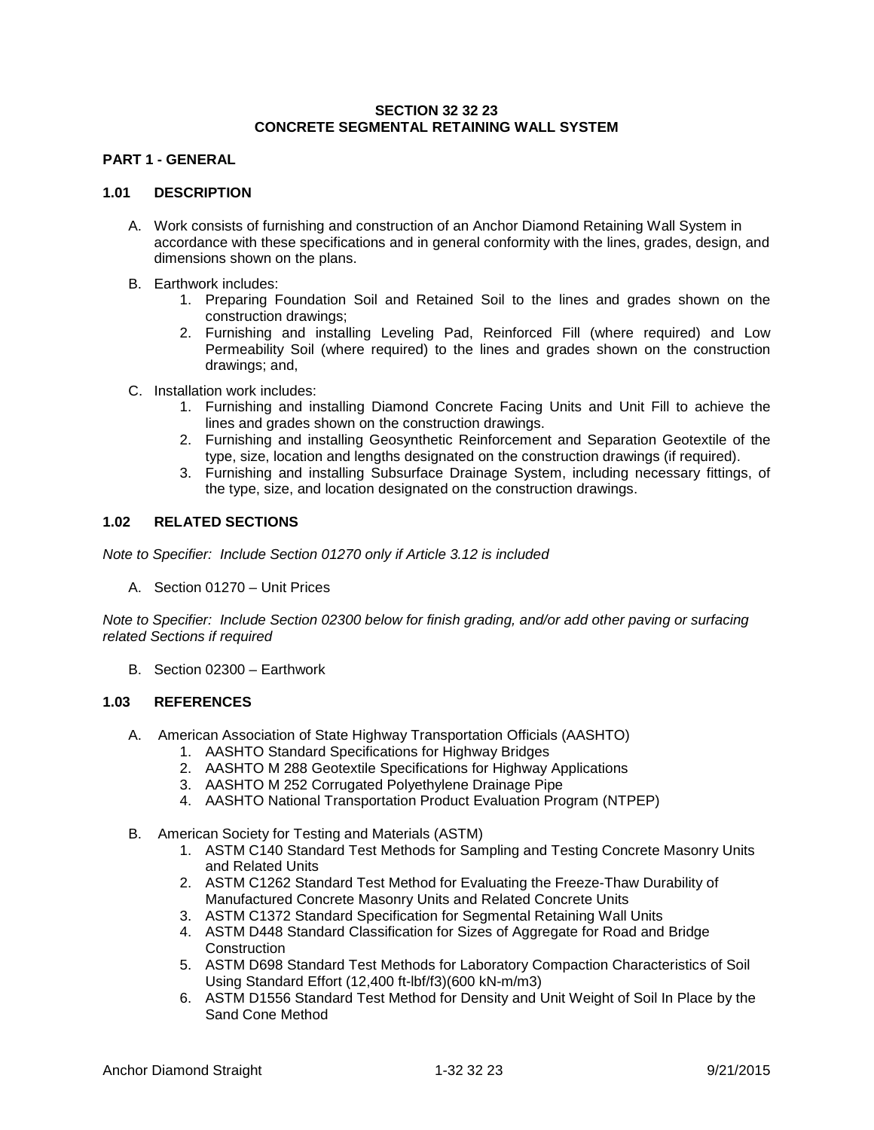# **SECTION 32 32 23 CONCRETE SEGMENTAL RETAINING WALL SYSTEM**

# **PART 1 - GENERAL**

#### **1.01 DESCRIPTION**

- A. Work consists of furnishing and construction of an Anchor Diamond Retaining Wall System in accordance with these specifications and in general conformity with the lines, grades, design, and dimensions shown on the plans.
- B. Earthwork includes:
	- 1. Preparing Foundation Soil and Retained Soil to the lines and grades shown on the construction drawings;
	- 2. Furnishing and installing Leveling Pad, Reinforced Fill (where required) and Low Permeability Soil (where required) to the lines and grades shown on the construction drawings; and,
- C. Installation work includes:
	- 1. Furnishing and installing Diamond Concrete Facing Units and Unit Fill to achieve the lines and grades shown on the construction drawings.
	- 2. Furnishing and installing Geosynthetic Reinforcement and Separation Geotextile of the type, size, location and lengths designated on the construction drawings (if required).
	- 3. Furnishing and installing Subsurface Drainage System, including necessary fittings, of the type, size, and location designated on the construction drawings.

# **1.02 RELATED SECTIONS**

*Note to Specifier: Include Section 01270 only if Article 3.12 is included*

A. Section 01270 – Unit Prices

*Note to Specifier: Include Section 02300 below for finish grading, and/or add other paving or surfacing related Sections if required*

B. Section 02300 – Earthwork

#### **1.03 REFERENCES**

- A. American Association of State Highway Transportation Officials (AASHTO)
	- 1. AASHTO Standard Specifications for Highway Bridges
	- 2. AASHTO M 288 Geotextile Specifications for Highway Applications
	- 3. AASHTO M 252 Corrugated Polyethylene Drainage Pipe
	- 4. AASHTO National Transportation Product Evaluation Program (NTPEP)
- B. American Society for Testing and Materials (ASTM)
	- 1. ASTM C140 Standard Test Methods for Sampling and Testing Concrete Masonry Units and Related Units
	- 2. ASTM C1262 Standard Test Method for Evaluating the Freeze-Thaw Durability of Manufactured Concrete Masonry Units and Related Concrete Units
	- 3. ASTM C1372 Standard Specification for Segmental Retaining Wall Units
	- 4. ASTM D448 Standard Classification for Sizes of Aggregate for Road and Bridge **Construction**
	- 5. ASTM D698 Standard Test Methods for Laboratory Compaction Characteristics of Soil Using Standard Effort (12,400 ft-lbf/f3)(600 kN-m/m3)
	- 6. ASTM D1556 Standard Test Method for Density and Unit Weight of Soil In Place by the Sand Cone Method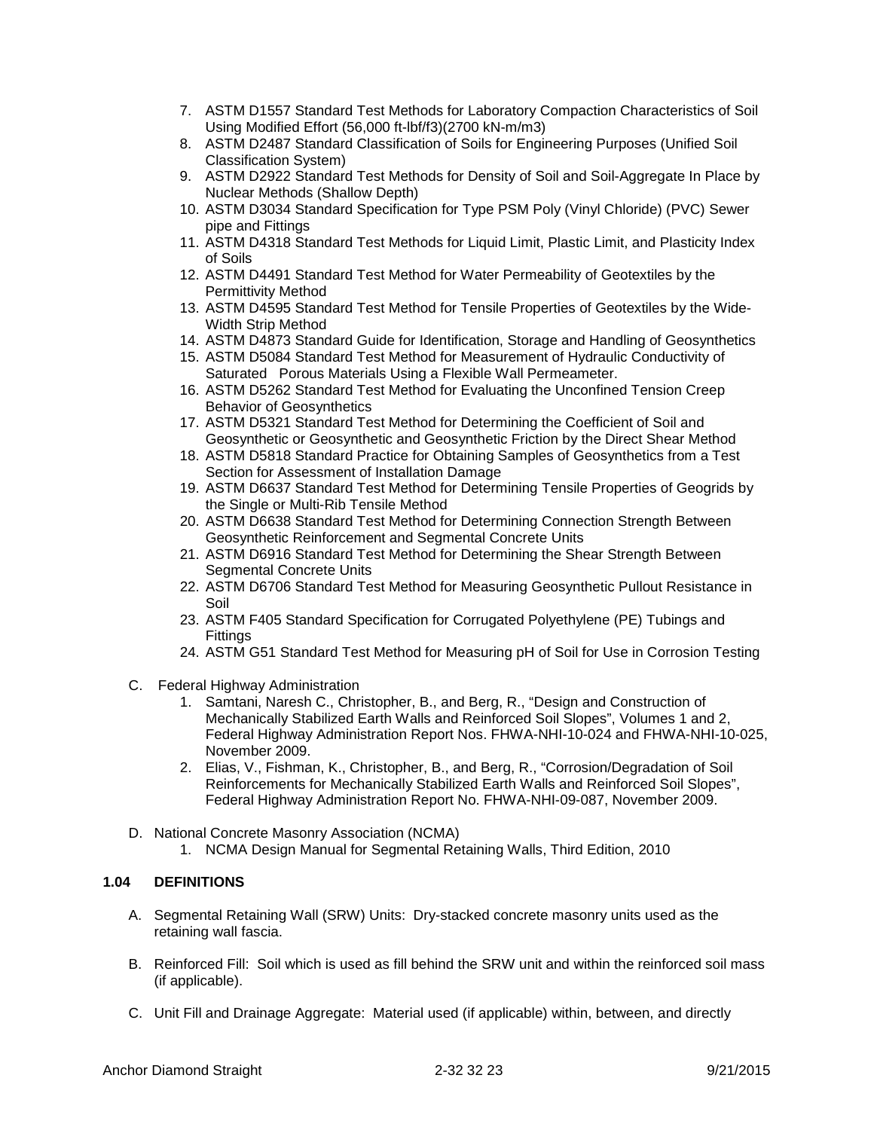- 7. ASTM D1557 Standard Test Methods for Laboratory Compaction Characteristics of Soil Using Modified Effort (56,000 ft-lbf/f3)(2700 kN-m/m3)
- 8. ASTM D2487 Standard Classification of Soils for Engineering Purposes (Unified Soil Classification System)
- 9. ASTM D2922 Standard Test Methods for Density of Soil and Soil-Aggregate In Place by Nuclear Methods (Shallow Depth)
- 10. ASTM D3034 Standard Specification for Type PSM Poly (Vinyl Chloride) (PVC) Sewer pipe and Fittings
- 11. ASTM D4318 Standard Test Methods for Liquid Limit, Plastic Limit, and Plasticity Index of Soils
- 12. ASTM D4491 Standard Test Method for Water Permeability of Geotextiles by the Permittivity Method
- 13. ASTM D4595 Standard Test Method for Tensile Properties of Geotextiles by the Wide-Width Strip Method
- 14. ASTM D4873 Standard Guide for Identification, Storage and Handling of Geosynthetics
- 15. ASTM D5084 Standard Test Method for Measurement of Hydraulic Conductivity of Saturated Porous Materials Using a Flexible Wall Permeameter.
- 16. ASTM D5262 Standard Test Method for Evaluating the Unconfined Tension Creep Behavior of Geosynthetics
- 17. ASTM D5321 Standard Test Method for Determining the Coefficient of Soil and Geosynthetic or Geosynthetic and Geosynthetic Friction by the Direct Shear Method
- 18. ASTM D5818 Standard Practice for Obtaining Samples of Geosynthetics from a Test Section for Assessment of Installation Damage
- 19. ASTM D6637 Standard Test Method for Determining Tensile Properties of Geogrids by the Single or Multi-Rib Tensile Method
- 20. ASTM D6638 Standard Test Method for Determining Connection Strength Between Geosynthetic Reinforcement and Segmental Concrete Units
- 21. ASTM D6916 Standard Test Method for Determining the Shear Strength Between Segmental Concrete Units
- 22. ASTM D6706 Standard Test Method for Measuring Geosynthetic Pullout Resistance in Soil
- 23. ASTM F405 Standard Specification for Corrugated Polyethylene (PE) Tubings and **Fittings**
- 24. ASTM G51 Standard Test Method for Measuring pH of Soil for Use in Corrosion Testing
- C. Federal Highway Administration
	- 1. Samtani, Naresh C., Christopher, B., and Berg, R., "Design and Construction of Mechanically Stabilized Earth Walls and Reinforced Soil Slopes", Volumes 1 and 2, Federal Highway Administration Report Nos. FHWA-NHI-10-024 and FHWA-NHI-10-025, November 2009.
	- 2. Elias, V., Fishman, K., Christopher, B., and Berg, R., "Corrosion/Degradation of Soil Reinforcements for Mechanically Stabilized Earth Walls and Reinforced Soil Slopes", Federal Highway Administration Report No. FHWA-NHI-09-087, November 2009.
- D. National Concrete Masonry Association (NCMA)
	- 1. NCMA Design Manual for Segmental Retaining Walls, Third Edition, 2010

# **1.04 DEFINITIONS**

- A. Segmental Retaining Wall (SRW) Units: Dry-stacked concrete masonry units used as the retaining wall fascia.
- B. Reinforced Fill: Soil which is used as fill behind the SRW unit and within the reinforced soil mass (if applicable).
- C. Unit Fill and Drainage Aggregate: Material used (if applicable) within, between, and directly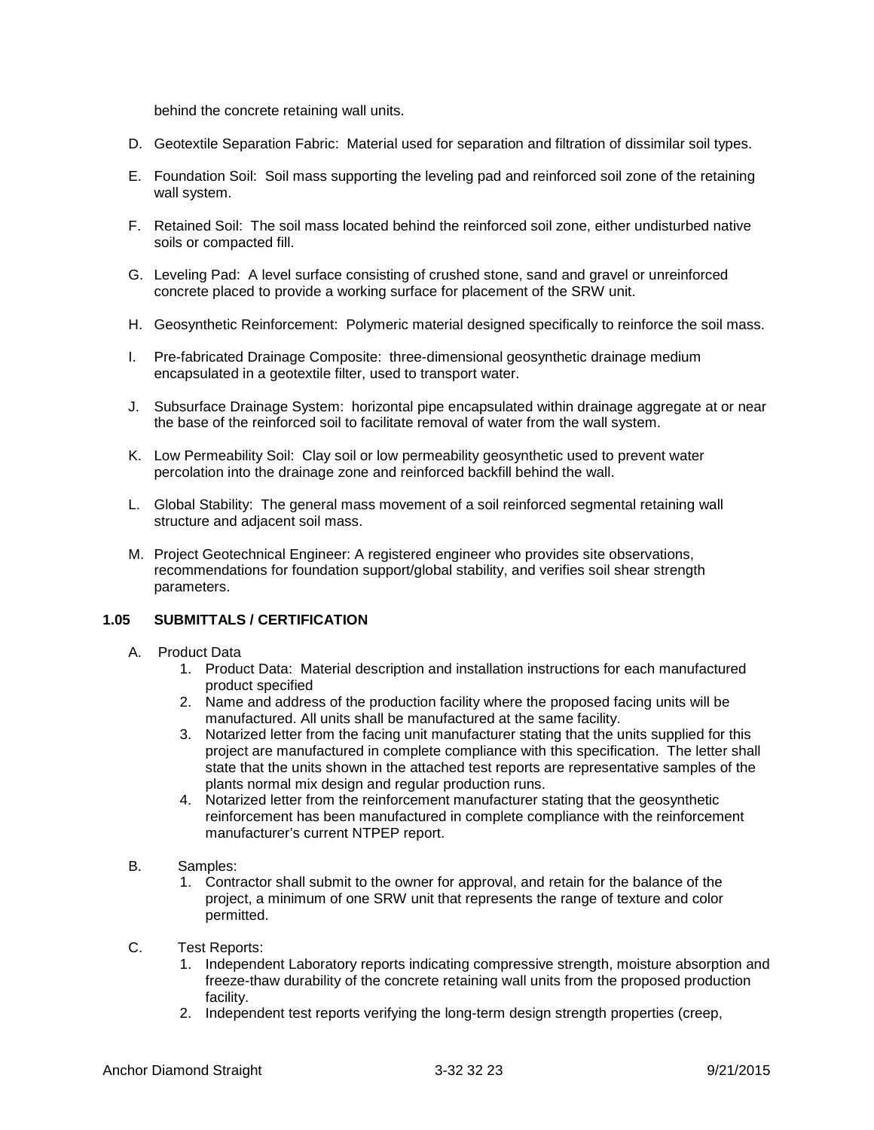behind the concrete retaining wall units.

- D. Geotextile Separation Fabric: Material used for separation and filtration of dissimilar soil types.
- E. Foundation Soil: Soil mass supporting the leveling pad and reinforced soil zone of the retaining wall system.
- F. Retained Soil: The soil mass located behind the reinforced soil zone, either undisturbed native soils or compacted fill.
- G. Leveling Pad: A level surface consisting of crushed stone, sand and gravel or unreinforced concrete placed to provide a working surface for placement of the SRW unit.
- H. Geosynthetic Reinforcement: Polymeric material designed specifically to reinforce the soil mass.
- I. Pre-fabricated Drainage Composite: three-dimensional geosynthetic drainage medium encapsulated in a geotextile filter, used to transport water.
- J. Subsurface Drainage System: horizontal pipe encapsulated within drainage aggregate at or near the base of the reinforced soil to facilitate removal of water from the wall system.
- K. Low Permeability Soil: Clay soil or low permeability geosynthetic used to prevent water percolation into the drainage zone and reinforced backfill behind the wall.
- L. Global Stability: The general mass movement of a soil reinforced segmental retaining wall structure and adjacent soil mass.
- M. Project Geotechnical Engineer: A registered engineer who provides site observations, recommendations for foundation support/global stability, and verifies soil shear strength parameters.

### **1.05 SUBMITTALS / CERTIFICATION**

- A. Product Data
	- 1. Product Data: Material description and installation instructions for each manufactured product specified
	- 2. Name and address of the production facility where the proposed facing units will be manufactured. All units shall be manufactured at the same facility.
	- 3. Notarized letter from the facing unit manufacturer stating that the units supplied for this project are manufactured in complete compliance with this specification. The letter shall state that the units shown in the attached test reports are representative samples of the plants normal mix design and regular production runs.
	- 4. Notarized letter from the reinforcement manufacturer stating that the geosynthetic reinforcement has been manufactured in complete compliance with the reinforcement manufacturer's current NTPEP report.
- B. Samples:
	- 1. Contractor shall submit to the owner for approval, and retain for the balance of the project, a minimum of one SRW unit that represents the range of texture and color permitted.
- C. Test Reports:
	- 1. Independent Laboratory reports indicating compressive strength, moisture absorption and freeze-thaw durability of the concrete retaining wall units from the proposed production facility.
	- 2. Independent test reports verifying the long-term design strength properties (creep,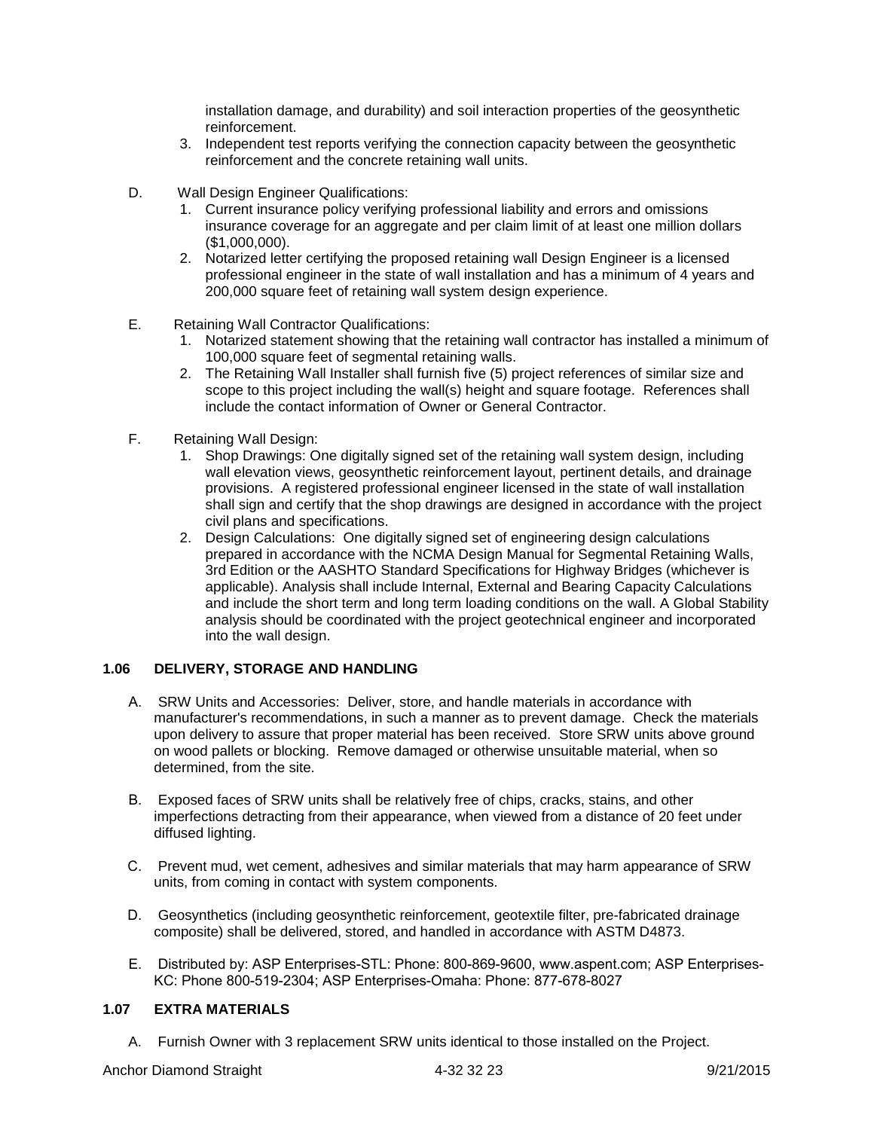installation damage, and durability) and soil interaction properties of the geosynthetic reinforcement.

- 3. Independent test reports verifying the connection capacity between the geosynthetic reinforcement and the concrete retaining wall units.
- D. Wall Design Engineer Qualifications:
	- 1. Current insurance policy verifying professional liability and errors and omissions insurance coverage for an aggregate and per claim limit of at least one million dollars (\$1,000,000).
	- 2. Notarized letter certifying the proposed retaining wall Design Engineer is a licensed professional engineer in the state of wall installation and has a minimum of 4 years and 200,000 square feet of retaining wall system design experience.
- E. Retaining Wall Contractor Qualifications:
	- 1. Notarized statement showing that the retaining wall contractor has installed a minimum of 100,000 square feet of segmental retaining walls.
	- 2. The Retaining Wall Installer shall furnish five (5) project references of similar size and scope to this project including the wall(s) height and square footage. References shall include the contact information of Owner or General Contractor.
- F. Retaining Wall Design:
	- 1. Shop Drawings: One digitally signed set of the retaining wall system design, including wall elevation views, geosynthetic reinforcement layout, pertinent details, and drainage provisions. A registered professional engineer licensed in the state of wall installation shall sign and certify that the shop drawings are designed in accordance with the project civil plans and specifications.
	- 2. Design Calculations: One digitally signed set of engineering design calculations prepared in accordance with the NCMA Design Manual for Segmental Retaining Walls, 3rd Edition or the AASHTO Standard Specifications for Highway Bridges (whichever is applicable). Analysis shall include Internal, External and Bearing Capacity Calculations and include the short term and long term loading conditions on the wall. A Global Stability analysis should be coordinated with the project geotechnical engineer and incorporated into the wall design.

# **1.06 DELIVERY, STORAGE AND HANDLING**

- A. SRW Units and Accessories: Deliver, store, and handle materials in accordance with manufacturer's recommendations, in such a manner as to prevent damage. Check the materials upon delivery to assure that proper material has been received. Store SRW units above ground on wood pallets or blocking. Remove damaged or otherwise unsuitable material, when so determined, from the site.
- B. Exposed faces of SRW units shall be relatively free of chips, cracks, stains, and other imperfections detracting from their appearance, when viewed from a distance of 20 feet under diffused lighting.
- C. Prevent mud, wet cement, adhesives and similar materials that may harm appearance of SRW units, from coming in contact with system components.
- D. Geosynthetics (including geosynthetic reinforcement, geotextile filter, pre-fabricated drainage composite) shall be delivered, stored, and handled in accordance with ASTM D4873.
- E. Distributed by: ASP Enterprises-STL: Phone: 800-869-9600, www.aspent.com; ASP Enterprises-KC: Phone 800-519-2304; ASP Enterprises-Omaha: Phone: 877-678-8027

# **1.07 EXTRA MATERIALS**

A. Furnish Owner with 3 replacement SRW units identical to those installed on the Project.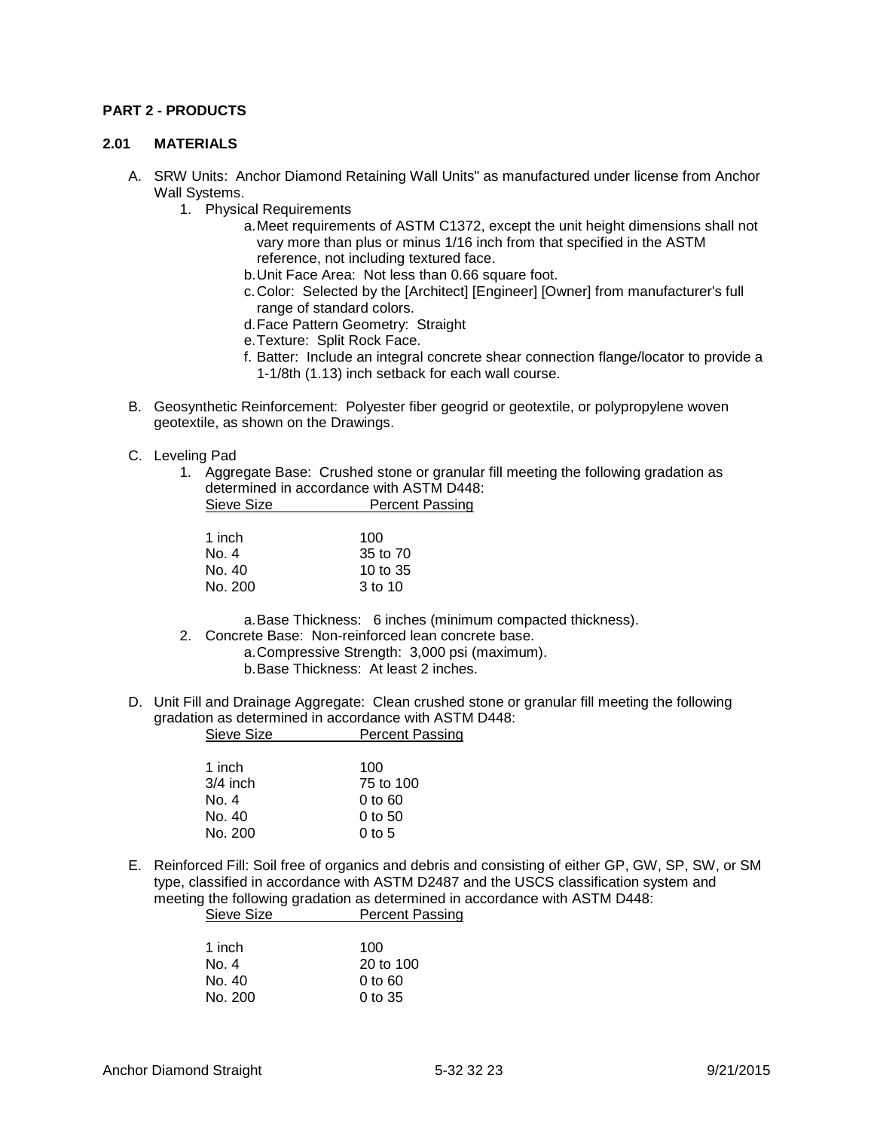### **PART 2 - PRODUCTS**

#### **2.01 MATERIALS**

- A. SRW Units: Anchor Diamond Retaining Wall Units" as manufactured under license from Anchor Wall Systems.
	- 1. Physical Requirements
		- a.Meet requirements of ASTM C1372, except the unit height dimensions shall not vary more than plus or minus 1/16 inch from that specified in the ASTM reference, not including textured face.
		- b.Unit Face Area: Not less than 0.66 square foot.
		- c.Color: Selected by the [Architect] [Engineer] [Owner] from manufacturer's full range of standard colors.
		- d.Face Pattern Geometry: Straight
		- e.Texture: Split Rock Face.
		- f. Batter: Include an integral concrete shear connection flange/locator to provide a 1-1/8th (1.13) inch setback for each wall course.
- B. Geosynthetic Reinforcement: Polyester fiber geogrid or geotextile, or polypropylene woven geotextile, as shown on the Drawings.
- C. Leveling Pad
	- 1. Aggregate Base: Crushed stone or granular fill meeting the following gradation as determined in accordance with ASTM D448: Sieve Size **Percent Passing**

| 100        |
|------------|
| 35 to 70   |
| 10 to $35$ |
| 3 to 10    |
|            |

a.Base Thickness: 6 inches (minimum compacted thickness).

- 2. Concrete Base: Non-reinforced lean concrete base.
	- a.Compressive Strength: 3,000 psi (maximum).
		- b.Base Thickness: At least 2 inches.
- D. Unit Fill and Drainage Aggregate: Clean crushed stone or granular fill meeting the following gradation as determined in accordance with ASTM D448: Sieve Size **Percent Passing**

| 1 inch     | 100                            |
|------------|--------------------------------|
| $3/4$ inch | 75 to 100                      |
| No. 4      | $0$ to $60$                    |
| No. 40     | $0$ to 50                      |
| No. 200    | 0 <sub>to</sub> 5 <sub>0</sub> |
|            |                                |

E. Reinforced Fill: Soil free of organics and debris and consisting of either GP, GW, SP, SW, or SM type, classified in accordance with ASTM D2487 and the USCS classification system and meeting the following gradation as determined in accordance with ASTM D448: Sieve Size **Percent Passing** 

| 1 inch  | 100                  |
|---------|----------------------|
| No. 4   | $20 \text{ to } 100$ |
| No. 40  | 0 to 60              |
| No. 200 | $0$ to 35            |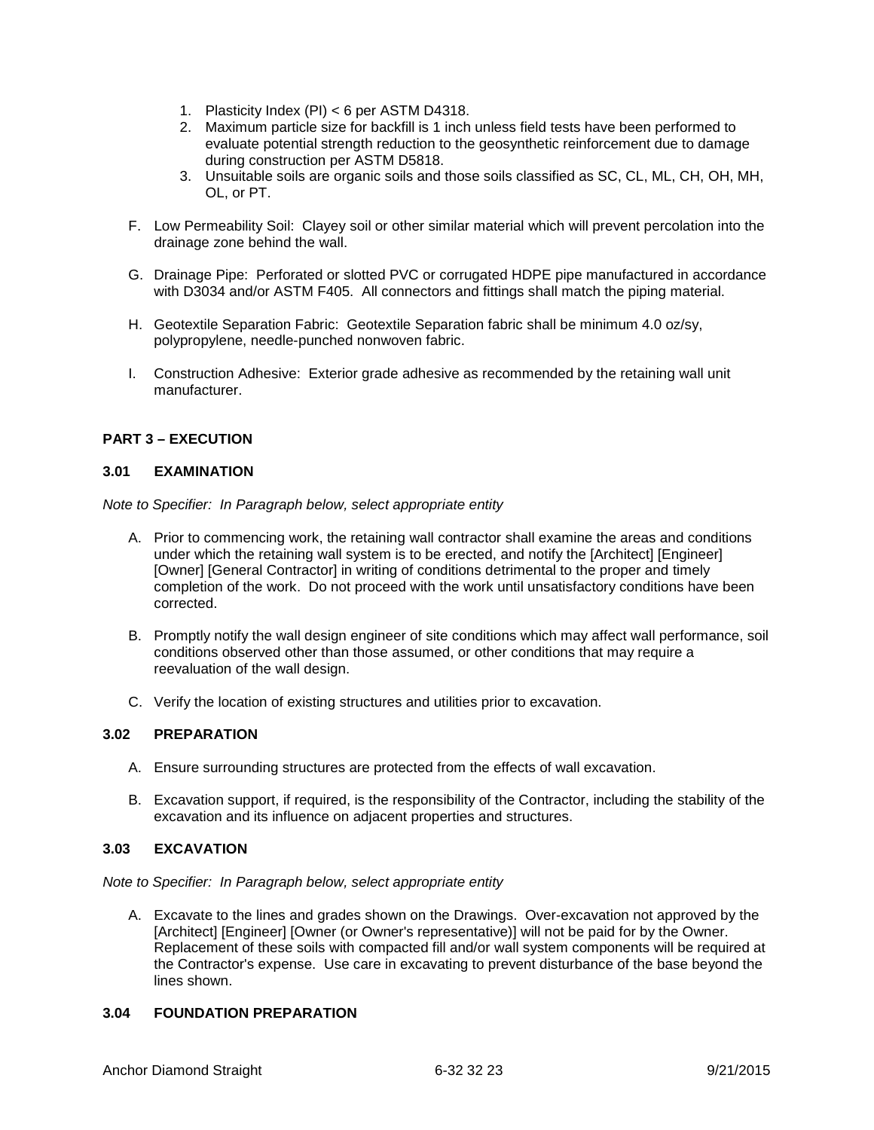- 1. Plasticity Index (PI) < 6 per ASTM D4318.
- 2. Maximum particle size for backfill is 1 inch unless field tests have been performed to evaluate potential strength reduction to the geosynthetic reinforcement due to damage during construction per ASTM D5818.
- 3. Unsuitable soils are organic soils and those soils classified as SC, CL, ML, CH, OH, MH, OL, or PT.
- F. Low Permeability Soil: Clayey soil or other similar material which will prevent percolation into the drainage zone behind the wall.
- G. Drainage Pipe: Perforated or slotted PVC or corrugated HDPE pipe manufactured in accordance with D3034 and/or ASTM F405. All connectors and fittings shall match the piping material.
- H. Geotextile Separation Fabric: Geotextile Separation fabric shall be minimum 4.0 oz/sy, polypropylene, needle-punched nonwoven fabric.
- I. Construction Adhesive: Exterior grade adhesive as recommended by the retaining wall unit manufacturer.

# **PART 3 – EXECUTION**

# **3.01 EXAMINATION**

*Note to Specifier: In Paragraph below, select appropriate entity*

- A. Prior to commencing work, the retaining wall contractor shall examine the areas and conditions under which the retaining wall system is to be erected, and notify the [Architect] [Engineer] [Owner] [General Contractor] in writing of conditions detrimental to the proper and timely completion of the work. Do not proceed with the work until unsatisfactory conditions have been corrected.
- B. Promptly notify the wall design engineer of site conditions which may affect wall performance, soil conditions observed other than those assumed, or other conditions that may require a reevaluation of the wall design.
- C. Verify the location of existing structures and utilities prior to excavation.

#### **3.02 PREPARATION**

- A. Ensure surrounding structures are protected from the effects of wall excavation.
- B. Excavation support, if required, is the responsibility of the Contractor, including the stability of the excavation and its influence on adjacent properties and structures.

### **3.03 EXCAVATION**

*Note to Specifier: In Paragraph below, select appropriate entity*

A. Excavate to the lines and grades shown on the Drawings. Over-excavation not approved by the [Architect] [Engineer] [Owner (or Owner's representative)] will not be paid for by the Owner. Replacement of these soils with compacted fill and/or wall system components will be required at the Contractor's expense. Use care in excavating to prevent disturbance of the base beyond the lines shown.

# **3.04 FOUNDATION PREPARATION**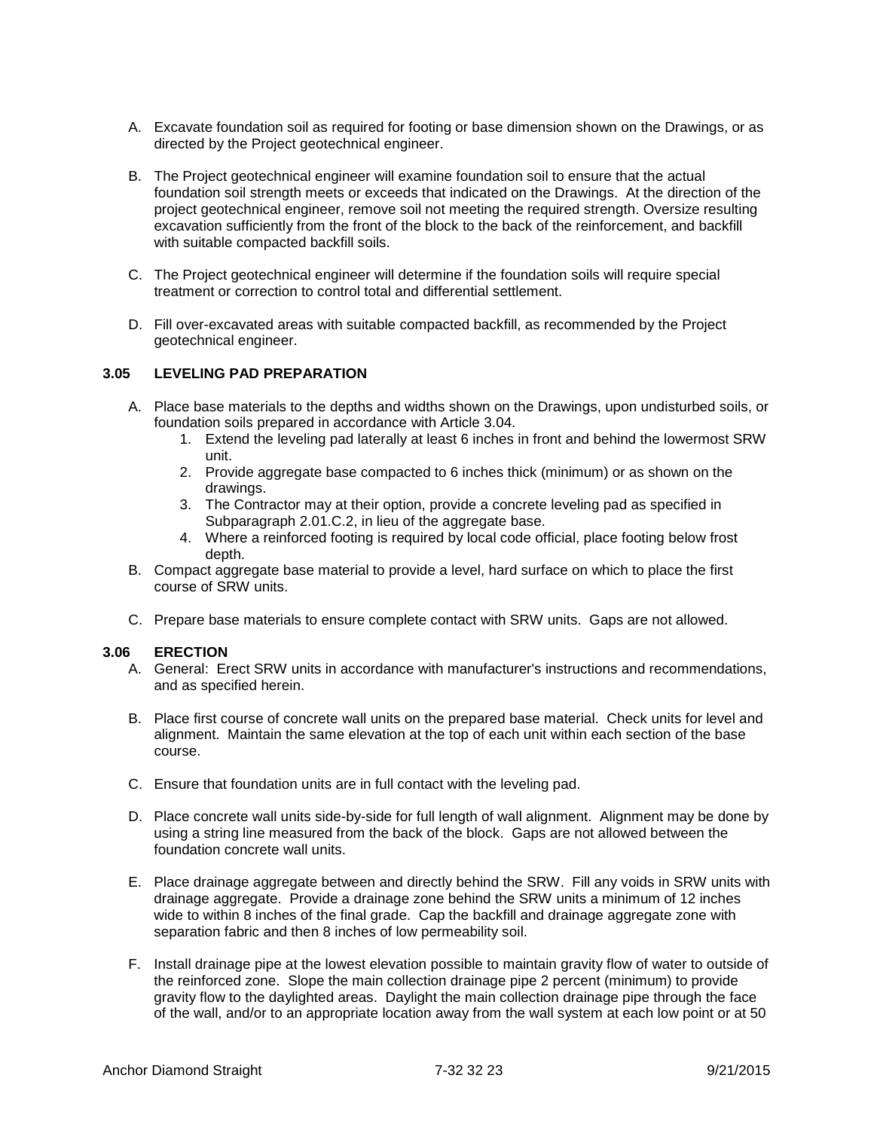- A. Excavate foundation soil as required for footing or base dimension shown on the Drawings, or as directed by the Project geotechnical engineer.
- B. The Project geotechnical engineer will examine foundation soil to ensure that the actual foundation soil strength meets or exceeds that indicated on the Drawings. At the direction of the project geotechnical engineer, remove soil not meeting the required strength. Oversize resulting excavation sufficiently from the front of the block to the back of the reinforcement, and backfill with suitable compacted backfill soils.
- C. The Project geotechnical engineer will determine if the foundation soils will require special treatment or correction to control total and differential settlement.
- D. Fill over-excavated areas with suitable compacted backfill, as recommended by the Project geotechnical engineer.

#### **3.05 LEVELING PAD PREPARATION**

- A. Place base materials to the depths and widths shown on the Drawings, upon undisturbed soils, or foundation soils prepared in accordance with Article 3.04.
	- 1. Extend the leveling pad laterally at least 6 inches in front and behind the lowermost SRW unit.
	- 2. Provide aggregate base compacted to 6 inches thick (minimum) or as shown on the drawings.
	- 3. The Contractor may at their option, provide a concrete leveling pad as specified in Subparagraph 2.01.C.2, in lieu of the aggregate base.
	- 4. Where a reinforced footing is required by local code official, place footing below frost depth.
- B. Compact aggregate base material to provide a level, hard surface on which to place the first course of SRW units.
- C. Prepare base materials to ensure complete contact with SRW units. Gaps are not allowed.

#### **3.06 ERECTION**

- A. General: Erect SRW units in accordance with manufacturer's instructions and recommendations, and as specified herein.
- B. Place first course of concrete wall units on the prepared base material. Check units for level and alignment. Maintain the same elevation at the top of each unit within each section of the base course.
- C. Ensure that foundation units are in full contact with the leveling pad.
- D. Place concrete wall units side-by-side for full length of wall alignment. Alignment may be done by using a string line measured from the back of the block. Gaps are not allowed between the foundation concrete wall units.
- E. Place drainage aggregate between and directly behind the SRW. Fill any voids in SRW units with drainage aggregate. Provide a drainage zone behind the SRW units a minimum of 12 inches wide to within 8 inches of the final grade. Cap the backfill and drainage aggregate zone with separation fabric and then 8 inches of low permeability soil.
- F. Install drainage pipe at the lowest elevation possible to maintain gravity flow of water to outside of the reinforced zone. Slope the main collection drainage pipe 2 percent (minimum) to provide gravity flow to the daylighted areas. Daylight the main collection drainage pipe through the face of the wall, and/or to an appropriate location away from the wall system at each low point or at 50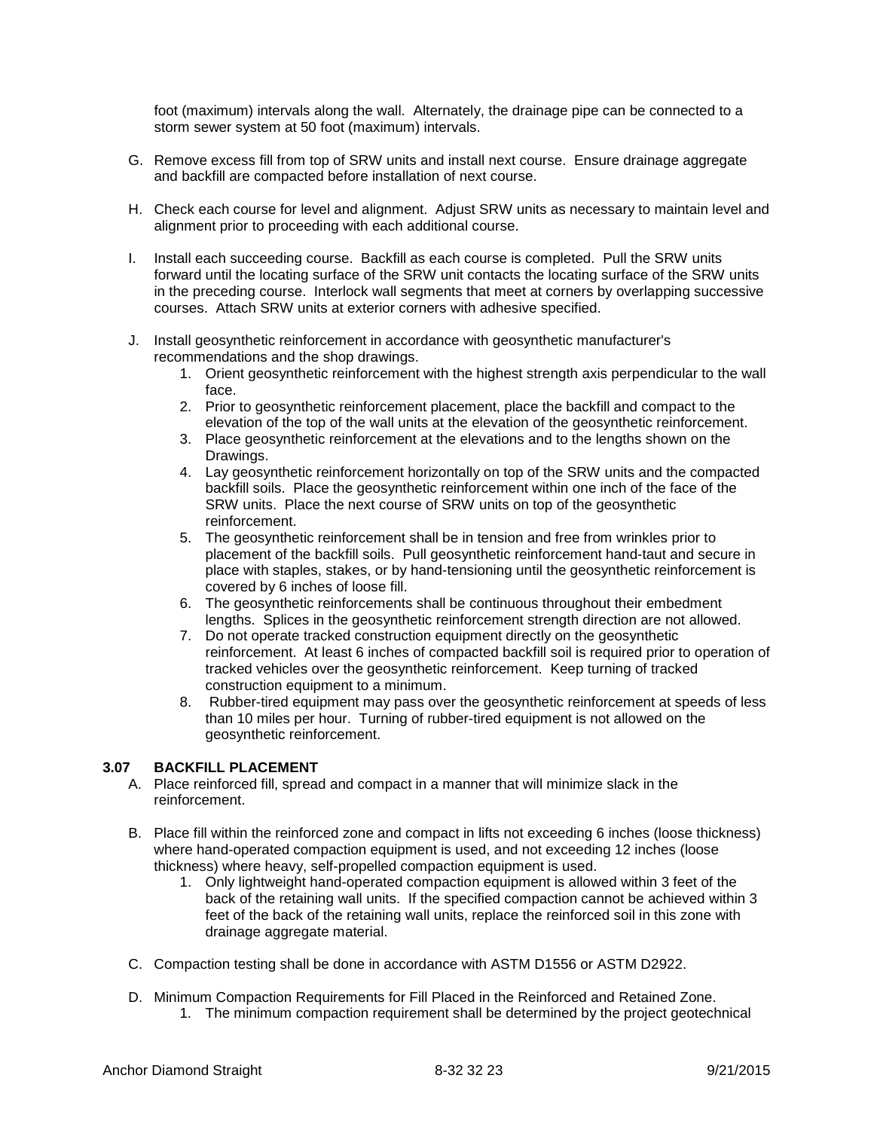foot (maximum) intervals along the wall. Alternately, the drainage pipe can be connected to a storm sewer system at 50 foot (maximum) intervals.

- G. Remove excess fill from top of SRW units and install next course. Ensure drainage aggregate and backfill are compacted before installation of next course.
- H. Check each course for level and alignment. Adjust SRW units as necessary to maintain level and alignment prior to proceeding with each additional course.
- I. Install each succeeding course. Backfill as each course is completed. Pull the SRW units forward until the locating surface of the SRW unit contacts the locating surface of the SRW units in the preceding course. Interlock wall segments that meet at corners by overlapping successive courses. Attach SRW units at exterior corners with adhesive specified.
- J. Install geosynthetic reinforcement in accordance with geosynthetic manufacturer's recommendations and the shop drawings.
	- 1. Orient geosynthetic reinforcement with the highest strength axis perpendicular to the wall face.
	- 2. Prior to geosynthetic reinforcement placement, place the backfill and compact to the elevation of the top of the wall units at the elevation of the geosynthetic reinforcement.
	- 3. Place geosynthetic reinforcement at the elevations and to the lengths shown on the Drawings.
	- 4. Lay geosynthetic reinforcement horizontally on top of the SRW units and the compacted backfill soils. Place the geosynthetic reinforcement within one inch of the face of the SRW units. Place the next course of SRW units on top of the geosynthetic reinforcement.
	- 5. The geosynthetic reinforcement shall be in tension and free from wrinkles prior to placement of the backfill soils. Pull geosynthetic reinforcement hand-taut and secure in place with staples, stakes, or by hand-tensioning until the geosynthetic reinforcement is covered by 6 inches of loose fill.
	- 6. The geosynthetic reinforcements shall be continuous throughout their embedment lengths. Splices in the geosynthetic reinforcement strength direction are not allowed.
	- 7. Do not operate tracked construction equipment directly on the geosynthetic reinforcement. At least 6 inches of compacted backfill soil is required prior to operation of tracked vehicles over the geosynthetic reinforcement. Keep turning of tracked construction equipment to a minimum.
	- 8. Rubber-tired equipment may pass over the geosynthetic reinforcement at speeds of less than 10 miles per hour. Turning of rubber-tired equipment is not allowed on the geosynthetic reinforcement.

# **3.07 BACKFILL PLACEMENT**

- A. Place reinforced fill, spread and compact in a manner that will minimize slack in the reinforcement.
- B. Place fill within the reinforced zone and compact in lifts not exceeding 6 inches (loose thickness) where hand-operated compaction equipment is used, and not exceeding 12 inches (loose thickness) where heavy, self-propelled compaction equipment is used.
	- 1. Only lightweight hand-operated compaction equipment is allowed within 3 feet of the back of the retaining wall units. If the specified compaction cannot be achieved within 3 feet of the back of the retaining wall units, replace the reinforced soil in this zone with drainage aggregate material.
- C. Compaction testing shall be done in accordance with ASTM D1556 or ASTM D2922.
- D. Minimum Compaction Requirements for Fill Placed in the Reinforced and Retained Zone. 1. The minimum compaction requirement shall be determined by the project geotechnical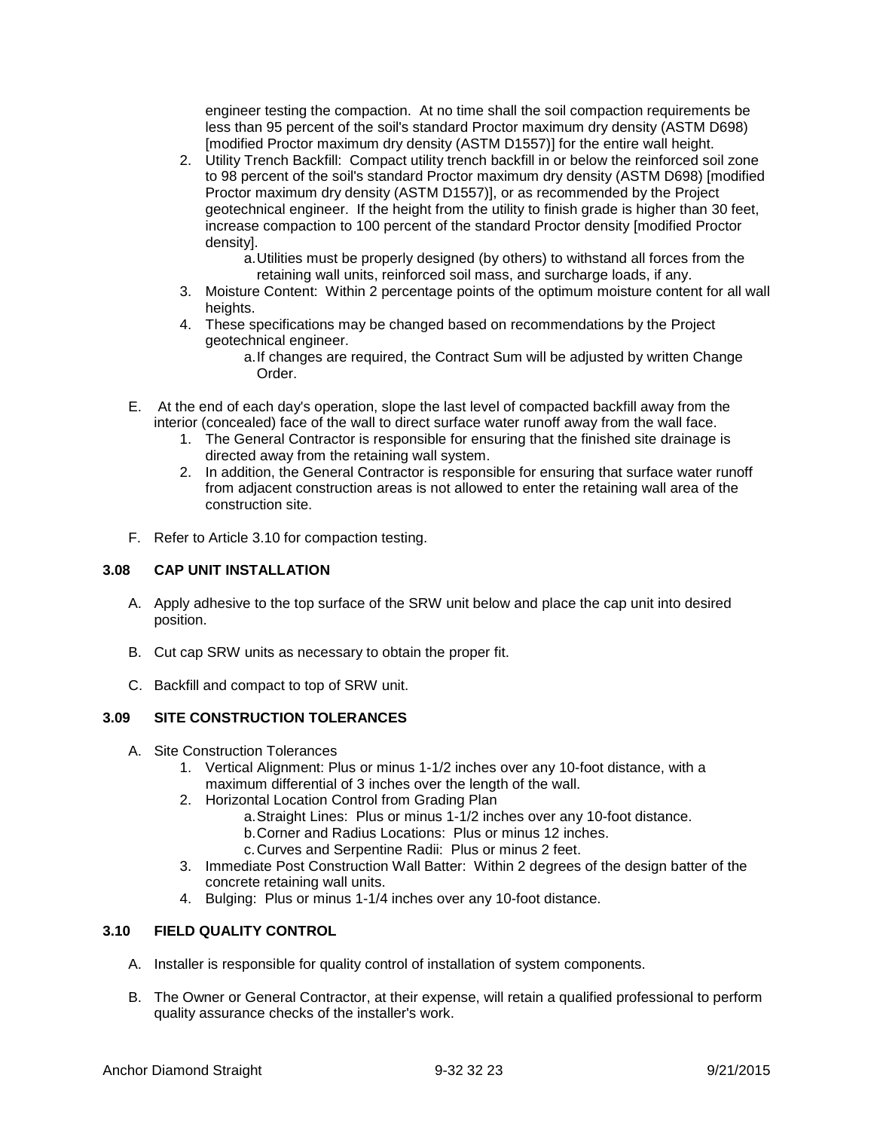engineer testing the compaction. At no time shall the soil compaction requirements be less than 95 percent of the soil's standard Proctor maximum dry density (ASTM D698) [modified Proctor maximum dry density (ASTM D1557)] for the entire wall height.

- 2. Utility Trench Backfill: Compact utility trench backfill in or below the reinforced soil zone to 98 percent of the soil's standard Proctor maximum dry density (ASTM D698) [modified Proctor maximum dry density (ASTM D1557)], or as recommended by the Project geotechnical engineer. If the height from the utility to finish grade is higher than 30 feet, increase compaction to 100 percent of the standard Proctor density [modified Proctor density].
	- a.Utilities must be properly designed (by others) to withstand all forces from the retaining wall units, reinforced soil mass, and surcharge loads, if any.
- 3. Moisture Content: Within 2 percentage points of the optimum moisture content for all wall heights.
- 4. These specifications may be changed based on recommendations by the Project geotechnical engineer.
	- a.If changes are required, the Contract Sum will be adjusted by written Change Order.
- E. At the end of each day's operation, slope the last level of compacted backfill away from the interior (concealed) face of the wall to direct surface water runoff away from the wall face.
	- 1. The General Contractor is responsible for ensuring that the finished site drainage is directed away from the retaining wall system.
	- 2. In addition, the General Contractor is responsible for ensuring that surface water runoff from adjacent construction areas is not allowed to enter the retaining wall area of the construction site.
- F. Refer to Article 3.10 for compaction testing.

### **3.08 CAP UNIT INSTALLATION**

- A. Apply adhesive to the top surface of the SRW unit below and place the cap unit into desired position.
- B. Cut cap SRW units as necessary to obtain the proper fit.
- C. Backfill and compact to top of SRW unit.

# **3.09 SITE CONSTRUCTION TOLERANCES**

- A. Site Construction Tolerances
	- 1. Vertical Alignment: Plus or minus 1-1/2 inches over any 10-foot distance, with a maximum differential of 3 inches over the length of the wall.
	- 2. Horizontal Location Control from Grading Plan
		- a.Straight Lines: Plus or minus 1-1/2 inches over any 10-foot distance.
		- b.Corner and Radius Locations: Plus or minus 12 inches.
		- c.Curves and Serpentine Radii: Plus or minus 2 feet.
	- 3. Immediate Post Construction Wall Batter: Within 2 degrees of the design batter of the concrete retaining wall units.
	- 4. Bulging: Plus or minus 1-1/4 inches over any 10-foot distance.

# **3.10 FIELD QUALITY CONTROL**

- A. Installer is responsible for quality control of installation of system components.
- B. The Owner or General Contractor, at their expense, will retain a qualified professional to perform quality assurance checks of the installer's work.